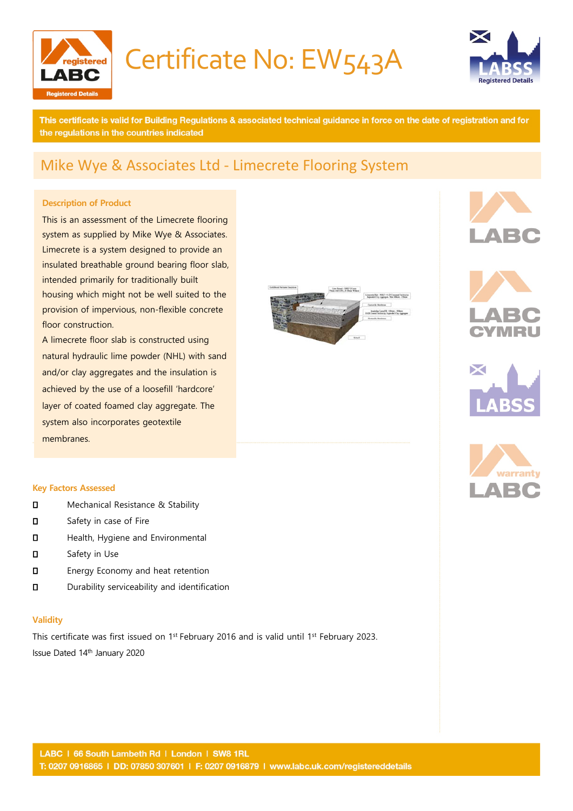

Certificate No: EW543A



This certificate is valid for Building Regulations & associated technical guidance in force on the date of registration and for the regulations in the countries indicated

### Mike Wye & Associates Ltd - Limecrete Flooring System

#### **Description of Product**

This is an assessment of the Limecrete flooring system as supplied by Mike Wye & Associates. Limecrete is a system designed to provide an insulated breathable ground bearing floor slab, intended primarily for traditionally built housing which might not be well suited to the provision of impervious, non-flexible concrete floor construction.

A limecrete floor slab is constructed using natural hydraulic lime powder (NHL) with sand and/or clay aggregates and the insulation is achieved by the use of a loosefill 'hardcore' layer of coated foamed clay aggregate. The system also incorporates geotextile membranes.

#### **Key Factors Assessed**

- **D** Mechanical Resistance & Stability
- **D** Safety in case of Fire
- **D** Health, Hygiene and Environmental
- **D** Safety in Use
- **D** Energy Economy and heat retention
- Durability serviceability and identification

#### **Validity**

This certificate was first issued on 1<sup>st</sup> February 2016 and is valid until 1<sup>st</sup> February 2023. Issue Dated 14th January 2020









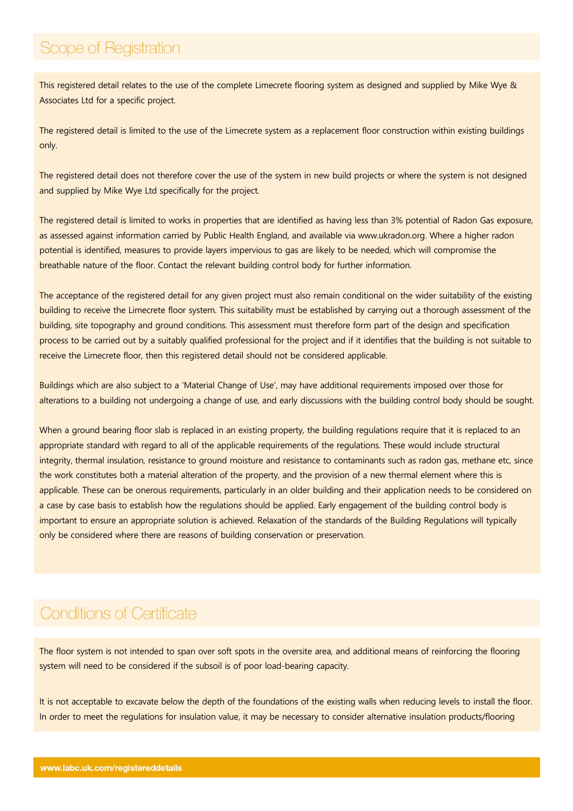### Scope of Registration

This registered detail relates to the use of the complete Limecrete flooring system as designed and supplied by Mike Wye & Associates Ltd for a specific project.

The registered detail is limited to the use of the Limecrete system as a replacement floor construction within existing buildings only.

The registered detail does not therefore cover the use of the system in new build projects or where the system is not designed and supplied by Mike Wye Ltd specifically for the project.

The registered detail is limited to works in properties that are identified as having less than 3% potential of Radon Gas exposure, as assessed against information carried by Public Health England, and available via [www.ukradon.org.](http://www.ukradon.org/) Where a higher radon potential is identified, measures to provide layers impervious to gas are likely to be needed, which will compromise the breathable nature of the floor. Contact the relevant building control body for further information.

The acceptance of the registered detail for any given project must also remain conditional on the wider suitability of the existing building to receive the Limecrete floor system. This suitability must be established by carrying out a thorough assessment of the building, site topography and ground conditions. This assessment must therefore form part of the design and specification process to be carried out by a suitably qualified professional for the project and if it identifies that the building is not suitable to receive the Limecrete floor, then this registered detail should not be considered applicable.

Buildings which are also subject to a 'Material Change of Use', may have additional requirements imposed over those for alterations to a building not undergoing a change of use, and early discussions with the building control body should be sought.

When a ground bearing floor slab is replaced in an existing property, the building regulations require that it is replaced to an appropriate standard with regard to all of the applicable requirements of the regulations. These would include structural integrity, thermal insulation, resistance to ground moisture and resistance to contaminants such as radon gas, methane etc, since the work constitutes both a material alteration of the property, and the provision of a new thermal element where this is applicable. These can be onerous requirements, particularly in an older building and their application needs to be considered on a case by case basis to establish how the regulations should be applied. Early engagement of the building control body is important to ensure an appropriate solution is achieved. Relaxation of the standards of the Building Regulations will typically only be considered where there are reasons of building conservation or preservation.

### **Conditions of Certificate**

The floor system is not intended to span over soft spots in the oversite area, and additional means of reinforcing the flooring system will need to be considered if the subsoil is of poor load-bearing capacity.

It is not acceptable to excavate below the depth of the foundations of the existing walls when reducing levels to install the floor. In order to meet the regulations for insulation value, it may be necessary to consider alternative insulation products/flooring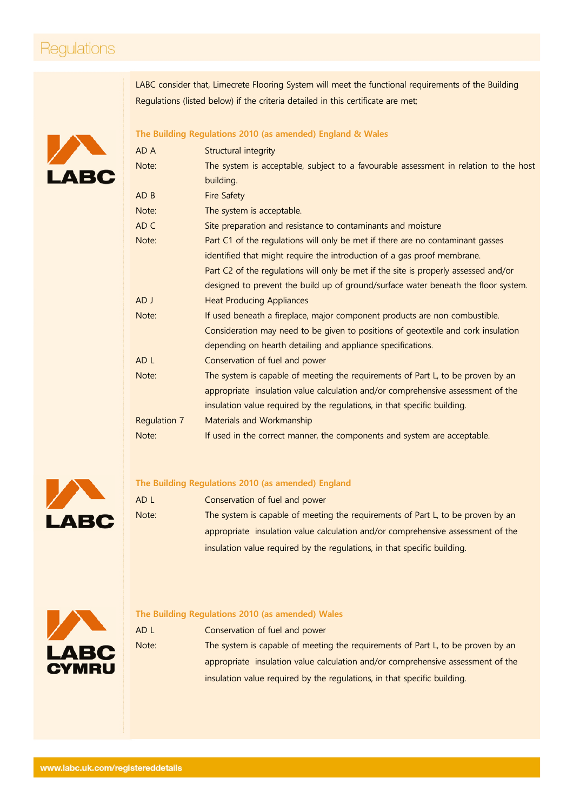### Regulations

LABC consider that, Limecrete Flooring System will meet the functional requirements of the Building Regulations (listed below) if the criteria detailed in this certificate are met;



#### **The Building Regulations 2010 (as amended) England & Wales**

| AD A            | Structural integrity                                                                 |
|-----------------|--------------------------------------------------------------------------------------|
| Note:           | The system is acceptable, subject to a favourable assessment in relation to the host |
|                 | building.                                                                            |
| AD B            | <b>Fire Safety</b>                                                                   |
| Note:           | The system is acceptable.                                                            |
| AD C            | Site preparation and resistance to contaminants and moisture                         |
| Note:           | Part C1 of the regulations will only be met if there are no contaminant gasses       |
|                 | identified that might require the introduction of a gas proof membrane.              |
|                 | Part C2 of the regulations will only be met if the site is properly assessed and/or  |
|                 | designed to prevent the build up of ground/surface water beneath the floor system.   |
| AD J            | <b>Heat Producing Appliances</b>                                                     |
| Note:           | If used beneath a fireplace, major component products are non combustible.           |
|                 | Consideration may need to be given to positions of geotextile and cork insulation    |
|                 | depending on hearth detailing and appliance specifications.                          |
| AD <sub>L</sub> | Conservation of fuel and power                                                       |
| Note:           | The system is capable of meeting the requirements of Part L, to be proven by an      |
|                 | appropriate insulation value calculation and/or comprehensive assessment of the      |
|                 | insulation value required by the regulations, in that specific building.             |
| Regulation 7    | Materials and Workmanship                                                            |
| Note:           | If used in the correct manner, the components and system are acceptable.             |



#### **The Building Regulations 2010 (as amended) England**

| AD L  | Conservation of fuel and power                                                  |
|-------|---------------------------------------------------------------------------------|
| Note: | The system is capable of meeting the requirements of Part L, to be proven by an |
|       | appropriate insulation value calculation and/or comprehensive assessment of the |
|       | insulation value required by the regulations, in that specific building.        |



### **The Building Regulations 2010 (as amended) Wales**

| AD L  | Conservation of fuel and power                                                  |
|-------|---------------------------------------------------------------------------------|
| Note: | The system is capable of meeting the requirements of Part L, to be proven by an |
|       | appropriate insulation value calculation and/or comprehensive assessment of the |
|       | insulation value required by the regulations, in that specific building.        |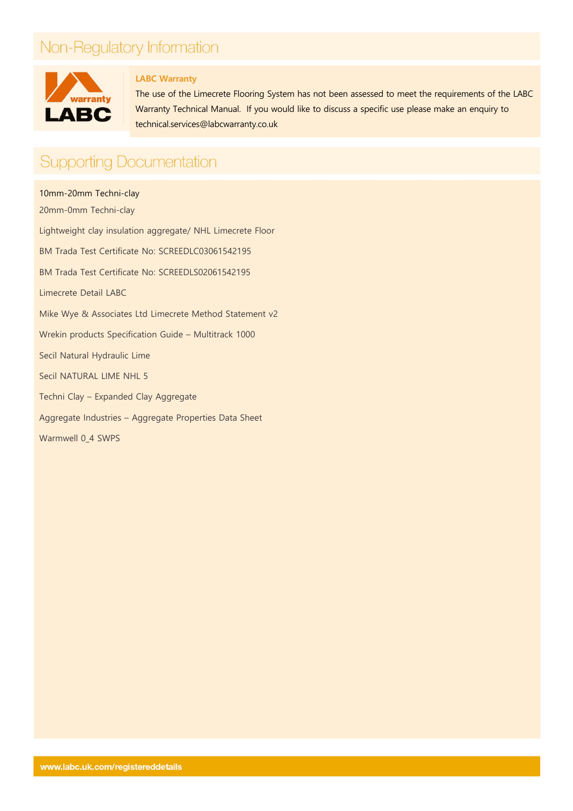# Non-Regulatory Information



### **LABC Warranty**

The use of the Limecrete Flooring System has not been assessed to meet the requirements of the LABC Warranty Technical Manual. If you would like to discuss a specific use please make an enquiry to [technical.services@labcwarranty.co.uk](mailto:technical.services@labcwarranty.co.uk)

### **Supporting Documentation**

10mm-20mm Techni-clay 20mm-0mm Techni-clay Lightweight clay insulation aggregate/ NHL Limecrete Floor BM Trada Test Certificate No: SCREEDLC03061542195 BM Trada Test Certificate No: SCREEDLS02061542195 Limecrete Detail LABC Mike Wye & Associates Ltd Limecrete Method Statement v2 Wrekin products Specification Guide – Multitrack 1000 Secil Natural Hydraulic Lime Secil NATURAL LIME NHL 5 Techni Clay – Expanded Clay Aggregate Aggregate Industries – Aggregate Properties Data Sheet Warmwell 0\_4 SWPS